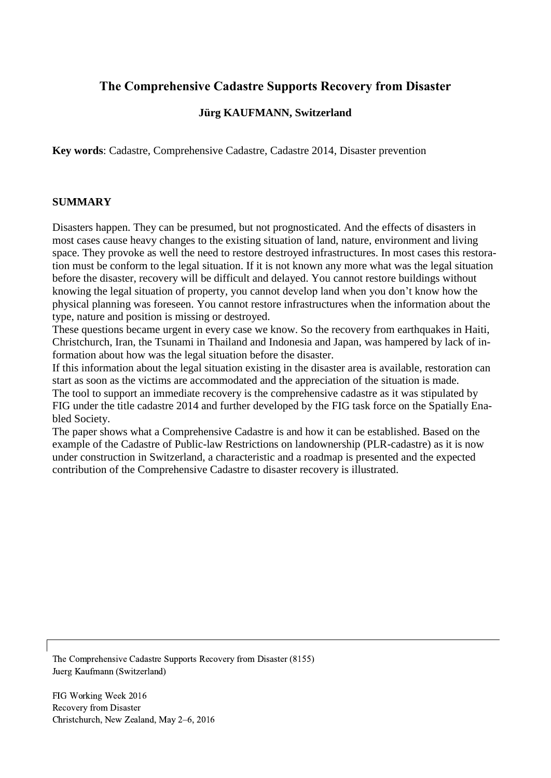# **The Comprehensive Cadastre Supports Recovery from Disaster**

# **Jürg KAUFMANN, Switzerland**

**Key words**: Cadastre, Comprehensive Cadastre, Cadastre 2014, Disaster prevention

#### **SUMMARY**

Disasters happen. They can be presumed, but not prognosticated. And the effects of disasters in most cases cause heavy changes to the existing situation of land, nature, environment and living space. They provoke as well the need to restore destroyed infrastructures. In most cases this restoration must be conform to the legal situation. If it is not known any more what was the legal situation before the disaster, recovery will be difficult and delayed. You cannot restore buildings without knowing the legal situation of property, you cannot develop land when you don't know how the physical planning was foreseen. You cannot restore infrastructures when the information about the type, nature and position is missing or destroyed.

These questions became urgent in every case we know. So the recovery from earthquakes in Haiti, Christchurch, Iran, the Tsunami in Thailand and Indonesia and Japan, was hampered by lack of information about how was the legal situation before the disaster.

If this information about the legal situation existing in the disaster area is available, restoration can start as soon as the victims are accommodated and the appreciation of the situation is made.

The tool to support an immediate recovery is the comprehensive cadastre as it was stipulated by FIG under the title cadastre 2014 and further developed by the FIG task force on the Spatially Enabled Society.

The paper shows what a Comprehensive Cadastre is and how it can be established. Based on the example of the Cadastre of Public-law Restrictions on landownership (PLR-cadastre) as it is now under construction in Switzerland, a characteristic and a roadmap is presented and the expected contribution of the Comprehensive Cadastre to disaster recovery is illustrated.

The Comprehensive Cadastre Supports Recovery from Disaster (8155) Juerg Kaufmann (Switzerland)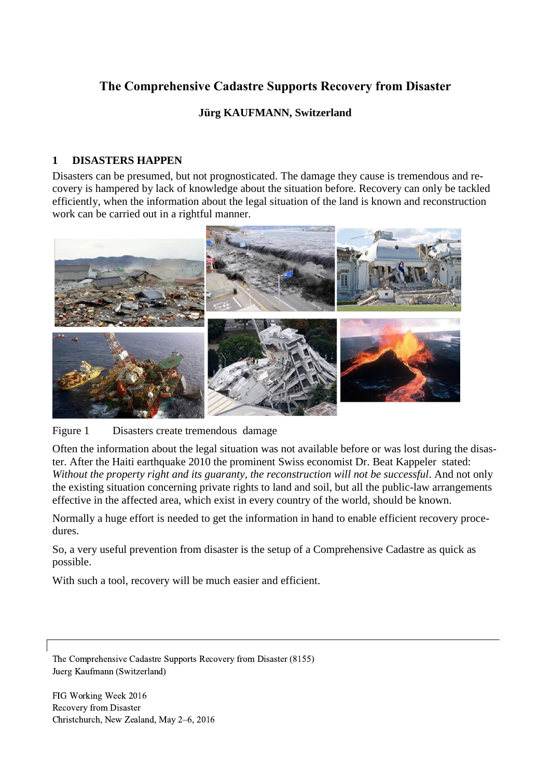# **The Comprehensive Cadastre Supports Recovery from Disaster**

# **Jürg KAUFMANN, Switzerland**

# **1 DISASTERS HAPPEN**

Disasters can be presumed, but not prognosticated. The damage they cause is tremendous and recovery is hampered by lack of knowledge about the situation before. Recovery can only be tackled efficiently, when the information about the legal situation of the land is known and reconstruction work can be carried out in a rightful manner.



Figure 1 Disasters create tremendous damage

Often the information about the legal situation was not available before or was lost during the disaster. After the Haiti earthquake 2010 the prominent Swiss economist Dr. Beat Kappeler stated: *Without the property right and its guaranty, the reconstruction will not be successful*. And not only the existing situation concerning private rights to land and soil, but all the public-law arrangements effective in the affected area, which exist in every country of the world, should be known.

Normally a huge effort is needed to get the information in hand to enable efficient recovery procedures.

So, a very useful prevention from disaster is the setup of a Comprehensive Cadastre as quick as possible.

With such a tool, recovery will be much easier and efficient.

The Comprehensive Cadastre Supports Recovery from Disaster (8155) Juerg Kaufmann (Switzerland)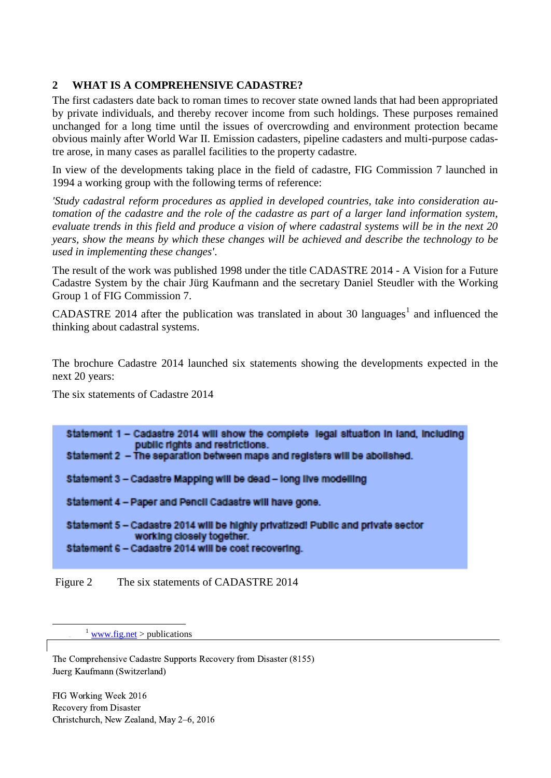## **2 WHAT IS A COMPREHENSIVE CADASTRE?**

The first cadasters date back to roman times to recover state owned lands that had been appropriated by private individuals, and thereby recover income from such holdings. These purposes remained unchanged for a long time until the issues of overcrowding and environment protection became obvious mainly after World War II. Emission cadasters, pipeline cadasters and multi-purpose cadastre arose, in many cases as parallel facilities to the property cadastre.

In view of the developments taking place in the field of cadastre, FIG Commission 7 launched in 1994 a working group with the following terms of reference:

*'Study cadastral reform procedures as applied in developed countries, take into consideration automation of the cadastre and the role of the cadastre as part of a larger land information system, evaluate trends in this field and produce a vision of where cadastral systems will be in the next 20 years, show the means by which these changes will be achieved and describe the technology to be used in implementing these changes'*.

The result of the work was published 1998 under the title CADASTRE 2014 - A Vision for a Future Cadastre System by the chair Jürg Kaufmann and the secretary Daniel Steudler with the Working Group 1 of FIG Commission 7.

CADASTRE 2014 after the publication was translated in about 30 languages<sup>1</sup> and influenced the thinking about cadastral systems.

The brochure Cadastre 2014 launched six statements showing the developments expected in the next 20 years:

The six statements of Cadastre 2014

| Statement 1 - Cadastre 2014 will show the complete legal situation in land, including<br>public rights and restrictions.<br>Statement 2 - The separation between maps and registers will be abolished. |
|--------------------------------------------------------------------------------------------------------------------------------------------------------------------------------------------------------|
| Statement 3 - Cadastre Mapping will be dead - long live modelling                                                                                                                                      |
| Statement 4 - Paper and Pencil Cadastre will have gone.                                                                                                                                                |
| Statement 5 - Cadastre 2014 will be highly privatized! Public and private sector<br>working closely together.<br>Statement 6 - Cadastre 2014 will be cost recovering.                                  |
|                                                                                                                                                                                                        |

Figure 2 The six statements of CADASTRE 2014

 $\frac{1}{1}$  [www.fig.net](http://www.fig.net/) > publications

1

The Comprehensive Cadastre Supports Recovery from Disaster (8155) Juerg Kaufmann (Switzerland)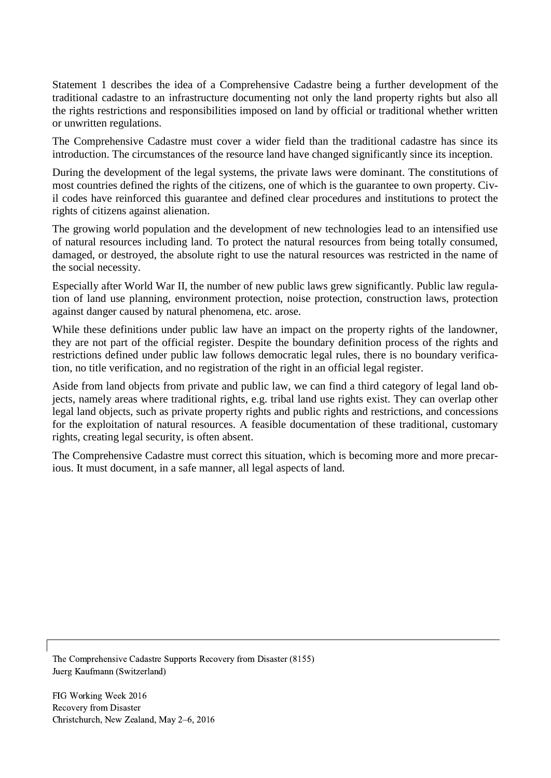Statement 1 describes the idea of a Comprehensive Cadastre being a further development of the traditional cadastre to an infrastructure documenting not only the land property rights but also all the rights restrictions and responsibilities imposed on land by official or traditional whether written or unwritten regulations.

The Comprehensive Cadastre must cover a wider field than the traditional cadastre has since its introduction. The circumstances of the resource land have changed significantly since its inception.

During the development of the legal systems, the private laws were dominant. The constitutions of most countries defined the rights of the citizens, one of which is the guarantee to own property. Civil codes have reinforced this guarantee and defined clear procedures and institutions to protect the rights of citizens against alienation.

The growing world population and the development of new technologies lead to an intensified use of natural resources including land. To protect the natural resources from being totally consumed, damaged, or destroyed, the absolute right to use the natural resources was restricted in the name of the social necessity.

Especially after World War II, the number of new public laws grew significantly. Public law regulation of land use planning, environment protection, noise protection, construction laws, protection against danger caused by natural phenomena, etc. arose.

While these definitions under public law have an impact on the property rights of the landowner, they are not part of the official register. Despite the boundary definition process of the rights and restrictions defined under public law follows democratic legal rules, there is no boundary verification, no title verification, and no registration of the right in an official legal register.

Aside from land objects from private and public law, we can find a third category of legal land objects, namely areas where traditional rights, e.g. tribal land use rights exist. They can overlap other legal land objects, such as private property rights and public rights and restrictions, and concessions for the exploitation of natural resources. A feasible documentation of these traditional, customary rights, creating legal security, is often absent.

The Comprehensive Cadastre must correct this situation, which is becoming more and more precarious. It must document, in a safe manner, all legal aspects of land.

The Comprehensive Cadastre Supports Recovery from Disaster (8155) Juerg Kaufmann (Switzerland)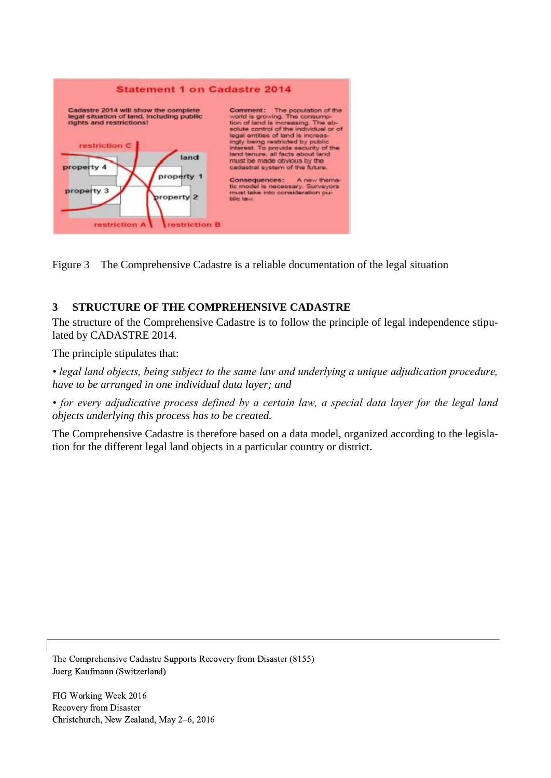

Figure 3 The Comprehensive Cadastre is a reliable documentation of the legal situation

# **3 STRUCTURE OF THE COMPREHENSIVE CADASTRE**

The structure of the Comprehensive Cadastre is to follow the principle of legal independence stipulated by CADASTRE 2014.

The principle stipulates that:

*• legal land objects, being subject to the same law and underlying a unique adjudication procedure, have to be arranged in one individual data layer; and*

*• for every adjudicative process defined by a certain law, a special data layer for the legal land objects underlying this process has to be created.*

The Comprehensive Cadastre is therefore based on a data model, organized according to the legislation for the different legal land objects in a particular country or district.

The Comprehensive Cadastre Supports Recovery from Disaster (8155) Juerg Kaufmann (Switzerland)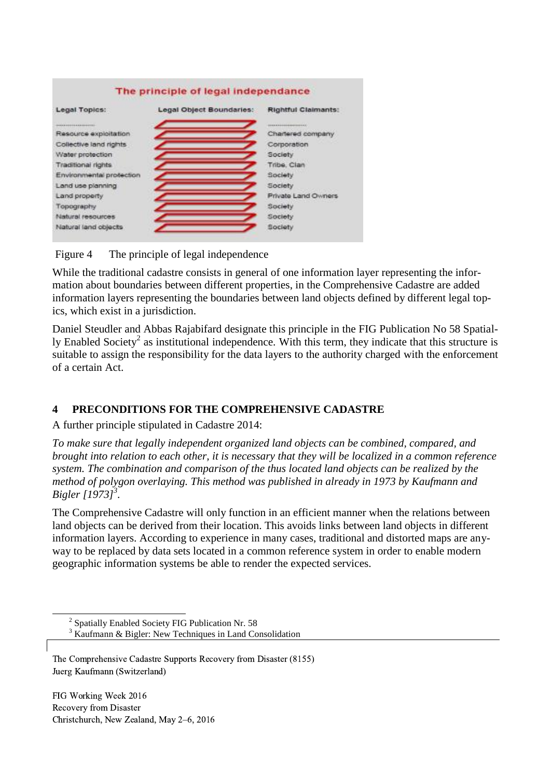

Figure 4 The principle of legal independence

While the traditional cadastre consists in general of one information layer representing the information about boundaries between different properties, in the Comprehensive Cadastre are added information layers representing the boundaries between land objects defined by different legal topics, which exist in a jurisdiction.

Daniel Steudler and Abbas Rajabifard designate this principle in the FIG Publication No 58 Spatially Enabled Society<sup>2</sup> as institutional independence. With this term, they indicate that this structure is suitable to assign the responsibility for the data layers to the authority charged with the enforcement of a certain Act.

### **4 PRECONDITIONS FOR THE COMPREHENSIVE CADASTRE**

A further principle stipulated in Cadastre 2014:

*To make sure that legally independent organized land objects can be combined, compared, and brought into relation to each other, it is necessary that they will be localized in a common reference system. The combination and comparison of the thus located land objects can be realized by the method of polygon overlaying. This method was published in already in 1973 by Kaufmann and Bigler [1973]<sup>3</sup> .*

The Comprehensive Cadastre will only function in an efficient manner when the relations between land objects can be derived from their location. This avoids links between land objects in different information layers. According to experience in many cases, traditional and distorted maps are anyway to be replaced by data sets located in a common reference system in order to enable modern geographic information systems be able to render the expected services.

<sup>3</sup> Kaufmann & Bigler: New Techniques in Land Consolidation

FIG Working Week 2016 Recovery from Disaster Christchurch, New Zealand, May 2–6, 2016

-

<sup>&</sup>lt;sup>2</sup> Spatially Enabled Society FIG Publication Nr. 58

The Comprehensive Cadastre Supports Recovery from Disaster (8155) Juerg Kaufmann (Switzerland)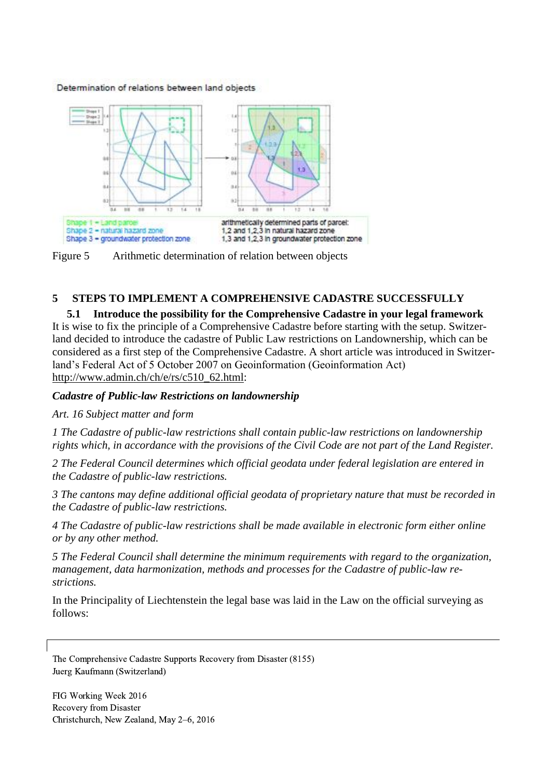Determination of relations between land objects



Figure 5 Arithmetic determination of relation between objects

### **5 STEPS TO IMPLEMENT A COMPREHENSIVE CADASTRE SUCCESSFULLY**

**5.1 Introduce the possibility for the Comprehensive Cadastre in your legal framework**  It is wise to fix the principle of a Comprehensive Cadastre before starting with the setup. Switzerland decided to introduce the cadastre of Public Law restrictions on Landownership, which can be considered as a first step of the Comprehensive Cadastre. A short article was introduced in Switzerland's Federal Act of 5 October 2007 on Geoinformation (Geoinformation Act) [http://www.admin.ch/ch/e/rs/c510\\_62.html:](http://www.admin.ch/ch/e/rs/c510_62.html)

### *Cadastre of Public-law Restrictions on landownership*

### *Art. 16 Subject matter and form*

*1 The Cadastre of public-law restrictions shall contain public-law restrictions on landownership rights which, in accordance with the provisions of the Civil Code are not part of the Land Register.*

*2 The Federal Council determines which official geodata under federal legislation are entered in the Cadastre of public-law restrictions.*

*3 The cantons may define additional official geodata of proprietary nature that must be recorded in the Cadastre of public-law restrictions.*

*4 The Cadastre of public-law restrictions shall be made available in electronic form either online or by any other method.*

*5 The Federal Council shall determine the minimum requirements with regard to the organization, management, data harmonization, methods and processes for the Cadastre of public-law restrictions.*

In the Principality of Liechtenstein the legal base was laid in the Law on the official surveying as follows:

The Comprehensive Cadastre Supports Recovery from Disaster (8155) Juerg Kaufmann (Switzerland)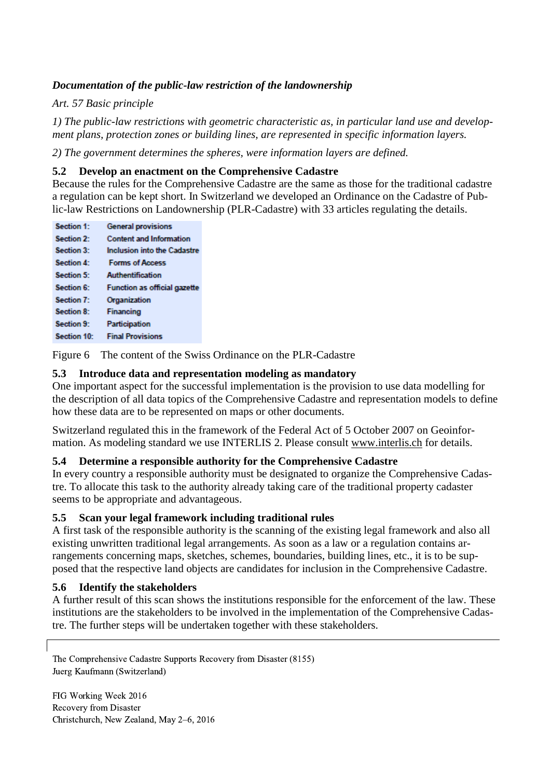## *Documentation of the public-law restriction of the landownership*

*Art. 57 Basic principle*

*1) The public-law restrictions with geometric characteristic as, in particular land use and development plans, protection zones or building lines, are represented in specific information layers.* 

*2) The government determines the spheres, were information layers are defined.*

### **5.2 Develop an enactment on the Comprehensive Cadastre**

Because the rules for the Comprehensive Cadastre are the same as those for the traditional cadastre a regulation can be kept short. In Switzerland we developed an Ordinance on the Cadastre of Public-law Restrictions on Landownership (PLR-Cadastre) with 33 articles regulating the details.

| Section 1:        | <b>General provisions</b>           |
|-------------------|-------------------------------------|
| Section 2:        | <b>Content and Information</b>      |
| Section 3:        | <b>Inclusion into the Cadastre</b>  |
| Section 4:        | <b>Forms of Access</b>              |
| Section 5:        | Authentification                    |
| Section 6:        | <b>Function as official gazette</b> |
| Section 7:        | Organization                        |
| <b>Section 8:</b> | Financing                           |
| Section 9:        | Participation                       |
| Section 10:       | <b>Final Provisions</b>             |
|                   |                                     |

Figure 6 The content of the Swiss Ordinance on the PLR-Cadastre

### **5.3 Introduce data and representation modeling as mandatory**

One important aspect for the successful implementation is the provision to use data modelling for the description of all data topics of the Comprehensive Cadastre and representation models to define how these data are to be represented on maps or other documents.

Switzerland regulated this in the framework of the Federal Act of 5 October 2007 on Geoinformation. As modeling standard we use INTERLIS 2. Please consult [www.interlis.ch](http://www.interlis.ch/) for details.

### **5.4 Determine a responsible authority for the Comprehensive Cadastre**

In every country a responsible authority must be designated to organize the Comprehensive Cadastre. To allocate this task to the authority already taking care of the traditional property cadaster seems to be appropriate and advantageous.

### **5.5 Scan your legal framework including traditional rules**

A first task of the responsible authority is the scanning of the existing legal framework and also all existing unwritten traditional legal arrangements. As soon as a law or a regulation contains arrangements concerning maps, sketches, schemes, boundaries, building lines, etc., it is to be supposed that the respective land objects are candidates for inclusion in the Comprehensive Cadastre.

#### **5.6 Identify the stakeholders**

A further result of this scan shows the institutions responsible for the enforcement of the law. These institutions are the stakeholders to be involved in the implementation of the Comprehensive Cadastre. The further steps will be undertaken together with these stakeholders.

The Comprehensive Cadastre Supports Recovery from Disaster (8155) Juerg Kaufmann (Switzerland)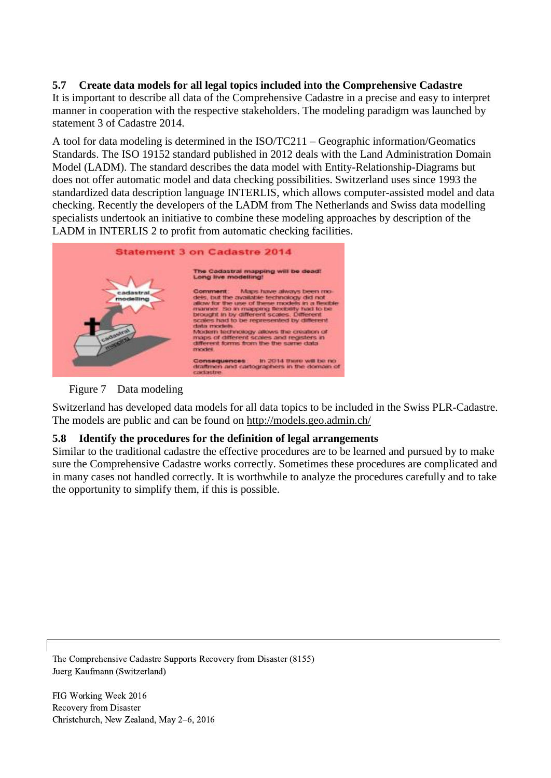## **5.7 Create data models for all legal topics included into the Comprehensive Cadastre**

It is important to describe all data of the Comprehensive Cadastre in a precise and easy to interpret manner in cooperation with the respective stakeholders. The modeling paradigm was launched by statement 3 of Cadastre 2014.

A tool for data modeling is determined in the ISO/TC211 – Geographic information/Geomatics Standards. The ISO 19152 standard published in 2012 deals with the Land Administration Domain Model (LADM). The standard describes the data model with Entity-Relationship-Diagrams but does not offer automatic model and data checking possibilities. Switzerland uses since 1993 the standardized data description language INTERLIS, which allows computer-assisted model and data checking. Recently the developers of the LADM from The Netherlands and Swiss data modelling specialists undertook an initiative to combine these modeling approaches by description of the LADM in INTERLIS 2 to profit from automatic checking facilities.



Figure 7 Data modeling

Switzerland has developed data models for all data topics to be included in the Swiss PLR-Cadastre. The models are public and can be found on<http://models.geo.admin.ch/>

### **5.8 Identify the procedures for the definition of legal arrangements**

Similar to the traditional cadastre the effective procedures are to be learned and pursued by to make sure the Comprehensive Cadastre works correctly. Sometimes these procedures are complicated and in many cases not handled correctly. It is worthwhile to analyze the procedures carefully and to take the opportunity to simplify them, if this is possible.

The Comprehensive Cadastre Supports Recovery from Disaster (8155) Juerg Kaufmann (Switzerland)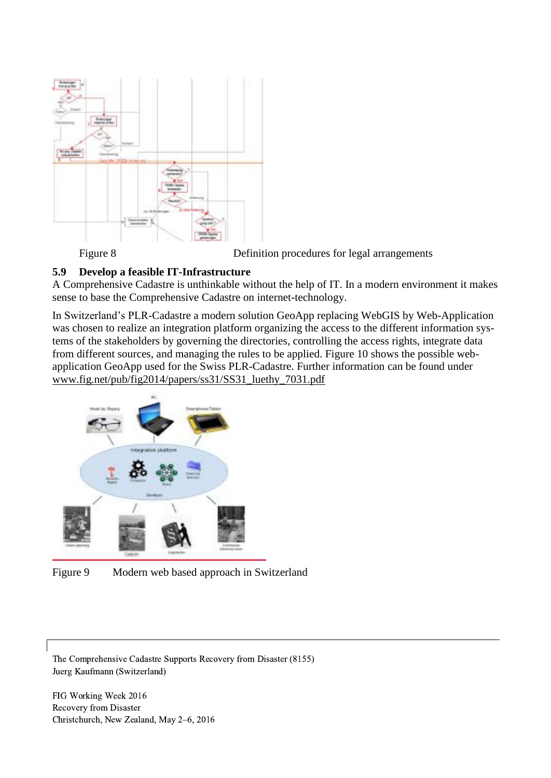

Figure 8 Definition procedures for legal arrangements

### **5.9 Develop a feasible IT-Infrastructure**

A Comprehensive Cadastre is unthinkable without the help of IT. In a modern environment it makes sense to base the Comprehensive Cadastre on internet-technology.

In Switzerland's PLR-Cadastre a modern solution GeoApp replacing WebGIS by Web-Application was chosen to realize an integration platform organizing the access to the different information systems of the stakeholders by governing the directories, controlling the access rights, integrate data from different sources, and managing the rules to be applied. Figure 10 shows the possible webapplication GeoApp used for the Swiss PLR-Cadastre. Further information can be found under [www.fig.net/pub/fig2014/papers/ss31/SS31\\_luethy\\_7031.pdf](http://www.fig.net/pub/fig2014/papers/ss31/SS31_luethy_7031.pdf)



Figure 9 Modern web based approach in Switzerland

The Comprehensive Cadastre Supports Recovery from Disaster (8155) Juerg Kaufmann (Switzerland)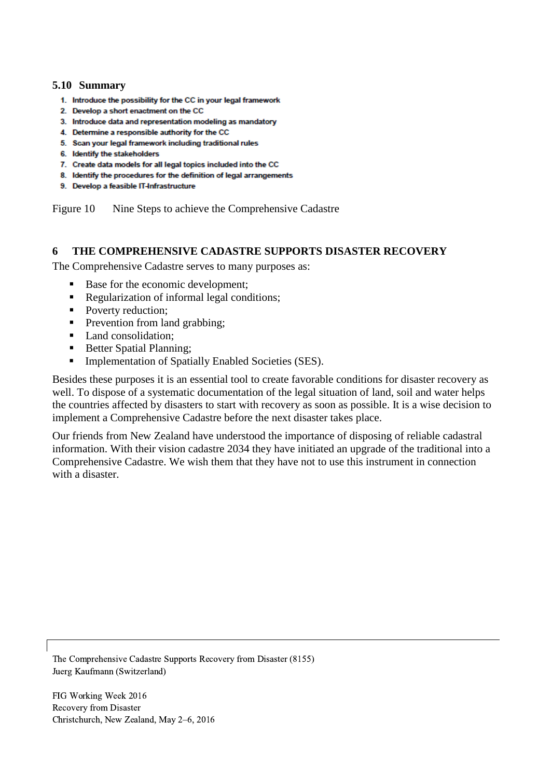#### **5.10 Summary**

- 1. Introduce the possibility for the CC in your legal framework
- 2. Develop a short enactment on the CC
- 3. Introduce data and representation modeling as mandatory
- 4. Determine a responsible authority for the CC
- 5. Scan your legal framework including traditional rules
- 6. Identify the stakeholders
- 7. Create data models for all legal topics included into the CC
- 8. Identify the procedures for the definition of legal arrangements
- 9. Develop a feasible IT-Infrastructure

Figure 10 Nine Steps to achieve the Comprehensive Cadastre

#### **6 THE COMPREHENSIVE CADASTRE SUPPORTS DISASTER RECOVERY**

The Comprehensive Cadastre serves to many purposes as:

- Base for the economic development;
- Regularization of informal legal conditions;
- Poverty reduction;
- **Prevention from land grabbing;**
- Land consolidation;
- Better Spatial Planning;
- **Implementation of Spatially Enabled Societies (SES).**

Besides these purposes it is an essential tool to create favorable conditions for disaster recovery as well. To dispose of a systematic documentation of the legal situation of land, soil and water helps the countries affected by disasters to start with recovery as soon as possible. It is a wise decision to implement a Comprehensive Cadastre before the next disaster takes place.

Our friends from New Zealand have understood the importance of disposing of reliable cadastral information. With their vision cadastre 2034 they have initiated an upgrade of the traditional into a Comprehensive Cadastre. We wish them that they have not to use this instrument in connection with a disaster.

The Comprehensive Cadastre Supports Recovery from Disaster (8155) Juerg Kaufmann (Switzerland)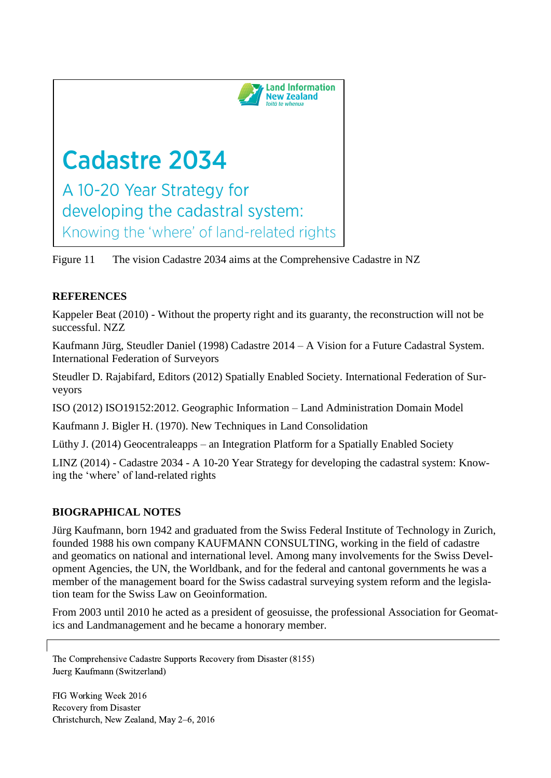

Figure 11 The vision Cadastre 2034 aims at the Comprehensive Cadastre in NZ

# **REFERENCES**

Kappeler Beat (2010) - Without the property right and its guaranty, the reconstruction will not be successful. NZZ

Kaufmann Jürg, Steudler Daniel (1998) Cadastre 2014 – A Vision for a Future Cadastral System. International Federation of Surveyors

Steudler D. Rajabifard, Editors (2012) Spatially Enabled Society. International Federation of Surveyors

ISO (2012) ISO19152:2012. Geographic Information – Land Administration Domain Model

Kaufmann J. Bigler H. (1970). New Techniques in Land Consolidation

Lüthy J. (2014) Geocentraleapps – an Integration Platform for a Spatially Enabled Society

LINZ (2014) - Cadastre 2034 - A 10-20 Year Strategy for developing the cadastral system: Knowing the 'where' of land-related rights

# **BIOGRAPHICAL NOTES**

Jürg Kaufmann, born 1942 and graduated from the Swiss Federal Institute of Technology in Zurich, founded 1988 his own company KAUFMANN CONSULTING, working in the field of cadastre and geomatics on national and international level. Among many involvements for the Swiss Development Agencies, the UN, the Worldbank, and for the federal and cantonal governments he was a member of the management board for the Swiss cadastral surveying system reform and the legislation team for the Swiss Law on Geoinformation.

From 2003 until 2010 he acted as a president of geosuisse, the professional Association for Geomatics and Landmanagement and he became a honorary member.

The Comprehensive Cadastre Supports Recovery from Disaster (8155) Juerg Kaufmann (Switzerland)